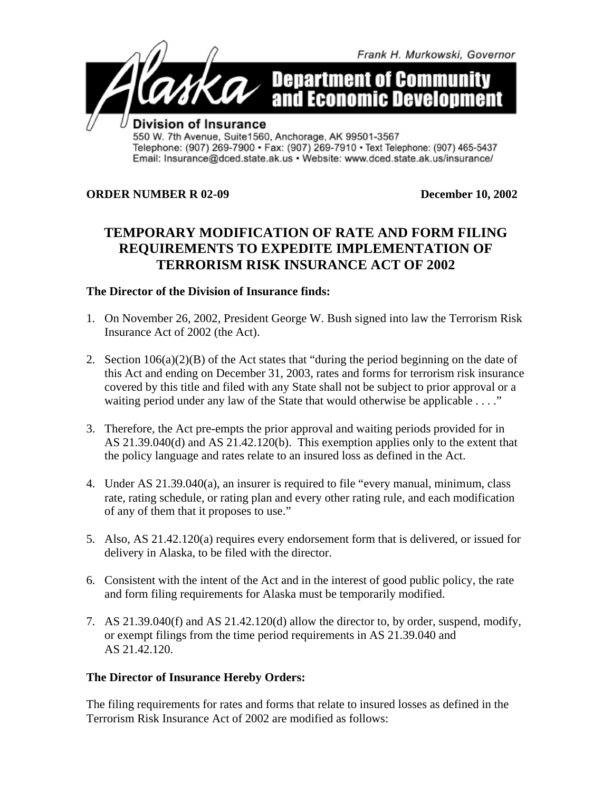

## **ORDER NUMBER R 02-09 December 10, 2002**

## **TEMPORARY MODIFICATION OF RATE AND FORM FILING REQUIREMENTS TO EXPEDITE IMPLEMENTATION OF TERRORISM RISK INSURANCE ACT OF 2002**

## **The Director of the Division of Insurance finds:**

- 1. On November 26, 2002, President George W. Bush signed into law the Terrorism Risk Insurance Act of 2002 (the Act).
- 2. Section 106(a)(2)(B) of the Act states that "during the period beginning on the date of this Act and ending on December 31, 2003, rates and forms for terrorism risk insurance covered by this title and filed with any State shall not be subject to prior approval or a waiting period under any law of the State that would otherwise be applicable . . . ."
- 3. Therefore, the Act pre-empts the prior approval and waiting periods provided for in AS 21.39.040(d) and AS 21.42.120(b). This exemption applies only to the extent that the policy language and rates relate to an insured loss as defined in the Act.
- 4. Under AS 21.39.040(a), an insurer is required to file "every manual, minimum, class rate, rating schedule, or rating plan and every other rating rule, and each modification of any of them that it proposes to use."
- 5. Also, AS 21.42.120(a) requires every endorsement form that is delivered, or issued for delivery in Alaska, to be filed with the director.
- 6. Consistent with the intent of the Act and in the interest of good public policy, the rate and form filing requirements for Alaska must be temporarily modified.
- 7. AS 21.39.040(f) and AS 21.42.120(d) allow the director to, by order, suspend, modify, or exempt filings from the time period requirements in AS 21.39.040 and AS 21.42.120.

## **The Director of Insurance Hereby Orders:**

The filing requirements for rates and forms that relate to insured losses as defined in the Terrorism Risk Insurance Act of 2002 are modified as follows: